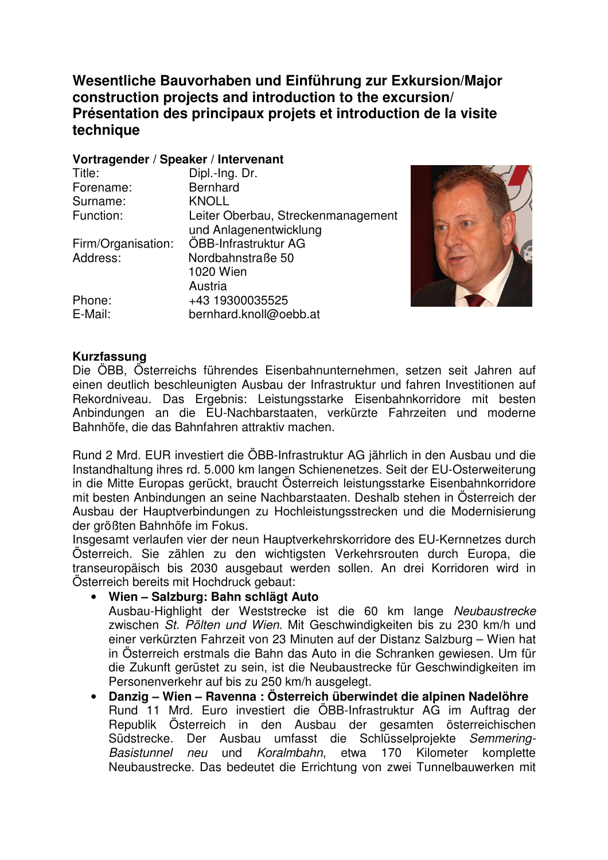**Wesentliche Bauvorhaben und Einführung zur Exkursion/Major construction projects and introduction to the excursion/ Présentation des principaux projets et introduction de la visite technique** 

#### **Vortragender / Speaker / Intervenant**

| Title:             | Dipl.-Ing. Dr.                     |
|--------------------|------------------------------------|
| Forename:          | <b>Bernhard</b>                    |
| Surname:           | <b>KNOLL</b>                       |
| Function:          | Leiter Oberbau, Streckenmanagement |
|                    | und Anlagenentwicklung             |
| Firm/Organisation: | ÖBB-Infrastruktur AG               |
| Address:           | Nordbahnstraße 50                  |
|                    | 1020 Wien                          |
|                    | Austria                            |
| Phone:             | +43 19300035525                    |
| E-Mail:            | bernhard.knoll@oebb.at             |



### **Kurzfassung**

Die ÖBB, Österreichs führendes Eisenbahnunternehmen, setzen seit Jahren auf einen deutlich beschleunigten Ausbau der Infrastruktur und fahren Investitionen auf Rekordniveau. Das Ergebnis: Leistungsstarke Eisenbahnkorridore mit besten Anbindungen an die EU-Nachbarstaaten, verkürzte Fahrzeiten und moderne Bahnhöfe, die das Bahnfahren attraktiv machen.

Rund 2 Mrd. EUR investiert die ÖBB-Infrastruktur AG jährlich in den Ausbau und die Instandhaltung ihres rd. 5.000 km langen Schienenetzes. Seit der EU-Osterweiterung in die Mitte Europas gerückt, braucht Österreich leistungsstarke Eisenbahnkorridore mit besten Anbindungen an seine Nachbarstaaten. Deshalb stehen in Österreich der Ausbau der Hauptverbindungen zu Hochleistungsstrecken und die Modernisierung der größten Bahnhöfe im Fokus.

Insgesamt verlaufen vier der neun Hauptverkehrskorridore des EU-Kernnetzes durch Österreich. Sie zählen zu den wichtigsten Verkehrsrouten durch Europa, die transeuropäisch bis 2030 ausgebaut werden sollen. An drei Korridoren wird in Österreich bereits mit Hochdruck gebaut:

- **Wien Salzburg: Bahn schlägt Auto**  Ausbau-Highlight der Weststrecke ist die 60 km lange Neubaustrecke zwischen St. Pölten und Wien. Mit Geschwindigkeiten bis zu 230 km/h und einer verkürzten Fahrzeit von 23 Minuten auf der Distanz Salzburg – Wien hat in Österreich erstmals die Bahn das Auto in die Schranken gewiesen. Um für die Zukunft gerüstet zu sein, ist die Neubaustrecke für Geschwindigkeiten im
- Personenverkehr auf bis zu 250 km/h ausgelegt. • **Danzig – Wien – Ravenna : Österreich überwindet die alpinen Nadelöhre**  Rund 11 Mrd. Euro investiert die ÖBB-Infrastruktur AG im Auftrag der Republik Österreich in den Ausbau der gesamten österreichischen Südstrecke. Der Ausbau umfasst die Schlüsselprojekte Semmering-Basistunnel neu und Koralmbahn, etwa 170 Kilometer komplette Neubaustrecke. Das bedeutet die Errichtung von zwei Tunnelbauwerken mit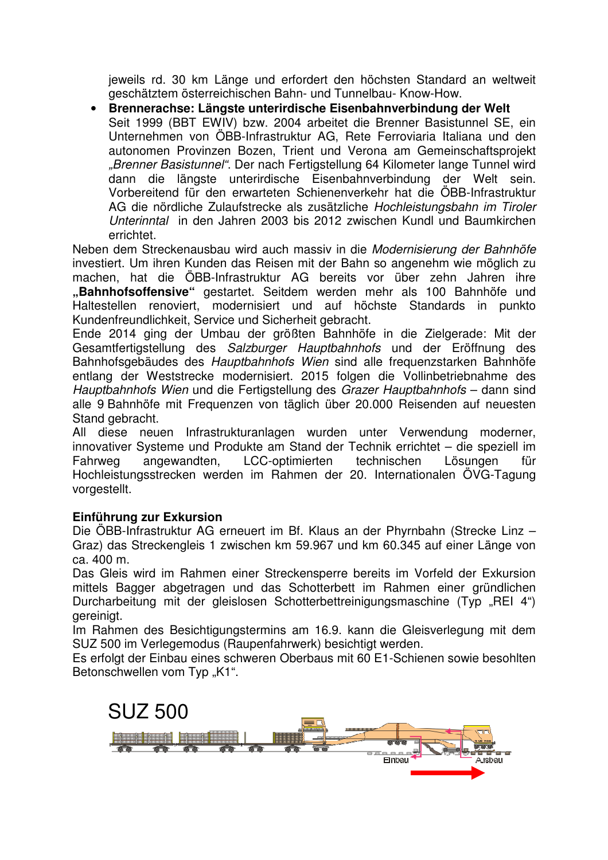jeweils rd. 30 km Länge und erfordert den höchsten Standard an weltweit geschätztem österreichischen Bahn- und Tunnelbau- Know-How.

• **Brennerachse: Längste unterirdische Eisenbahnverbindung der Welt**  Seit 1999 (BBT EWIV) bzw. 2004 arbeitet die Brenner Basistunnel SE, ein Unternehmen von ÖBB-Infrastruktur AG, Rete Ferroviaria Italiana und den autonomen Provinzen Bozen, Trient und Verona am Gemeinschaftsprojekt "Brenner Basistunnel". Der nach Fertigstellung 64 Kilometer lange Tunnel wird dann die längste unterirdische Eisenbahnverbindung der Welt sein. Vorbereitend für den erwarteten Schienenverkehr hat die ÖBB-Infrastruktur AG die nördliche Zulaufstrecke als zusätzliche Hochleistungsbahn im Tiroler Unterinntal in den Jahren 2003 bis 2012 zwischen Kundl und Baumkirchen errichtet.

Neben dem Streckenausbau wird auch massiv in die Modernisierung der Bahnhöfe investiert. Um ihren Kunden das Reisen mit der Bahn so angenehm wie möglich zu machen, hat die ÖBB-Infrastruktur AG bereits vor über zehn Jahren ihre **"Bahnhofsoffensive"** gestartet. Seitdem werden mehr als 100 Bahnhöfe und Haltestellen renoviert, modernisiert und auf höchste Standards in punkto Kundenfreundlichkeit, Service und Sicherheit gebracht.

Ende 2014 ging der Umbau der größten Bahnhöfe in die Zielgerade: Mit der Gesamtfertigstellung des Salzburger Hauptbahnhofs und der Eröffnung des Bahnhofsgebäudes des Hauptbahnhofs Wien sind alle frequenzstarken Bahnhöfe entlang der Weststrecke modernisiert. 2015 folgen die Vollinbetriebnahme des Hauptbahnhofs Wien und die Fertigstellung des Grazer Hauptbahnhofs – dann sind alle 9 Bahnhöfe mit Frequenzen von täglich über 20.000 Reisenden auf neuesten Stand gebracht.

All diese neuen Infrastrukturanlagen wurden unter Verwendung moderner, innovativer Systeme und Produkte am Stand der Technik errichtet – die speziell im Fahrweg angewandten, LCC-optimierten technischen Lösungen für Hochleistungsstrecken werden im Rahmen der 20. Internationalen ÖVG-Tagung vorgestellt.

# **Einführung zur Exkursion**

Die ÖBB-Infrastruktur AG erneuert im Bf. Klaus an der Phyrnbahn (Strecke Linz – Graz) das Streckengleis 1 zwischen km 59.967 und km 60.345 auf einer Länge von ca. 400 m.

Das Gleis wird im Rahmen einer Streckensperre bereits im Vorfeld der Exkursion mittels Bagger abgetragen und das Schotterbett im Rahmen einer gründlichen Durcharbeitung mit der gleislosen Schotterbettreinigungsmaschine (Typ "REI 4") gereinigt.

Im Rahmen des Besichtigungstermins am 16.9. kann die Gleisverlegung mit dem SUZ 500 im Verlegemodus (Raupenfahrwerk) besichtigt werden.

Es erfolgt der Einbau eines schweren Oberbaus mit 60 E1-Schienen sowie besohlten Betonschwellen vom Typ "K1".

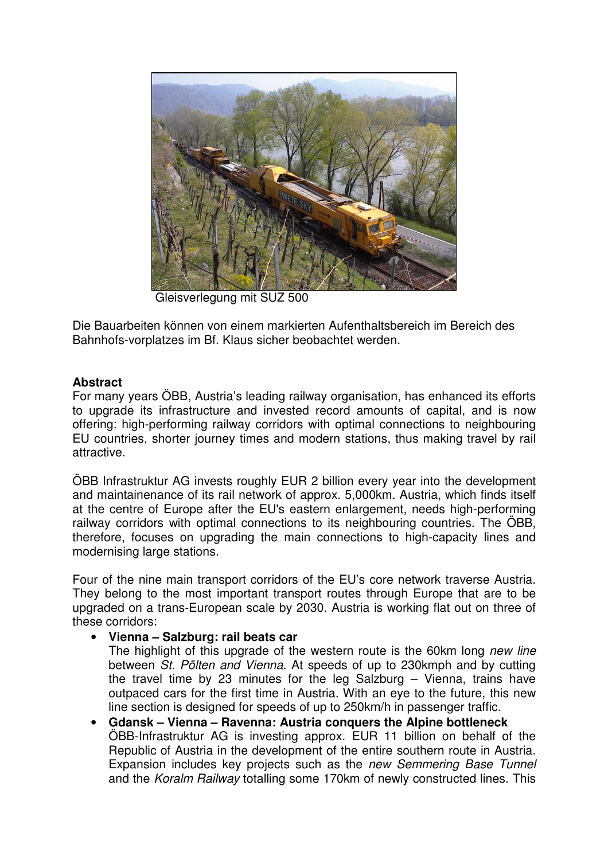

Gleisverlegung mit SUZ 500

Die Bauarbeiten können von einem markierten Aufenthaltsbereich im Bereich des Bahnhofs-vorplatzes im Bf. Klaus sicher beobachtet werden.

### **Abstract**

For many years ÖBB, Austria's leading railway organisation, has enhanced its efforts to upgrade its infrastructure and invested record amounts of capital, and is now offering: high-performing railway corridors with optimal connections to neighbouring EU countries, shorter journey times and modern stations, thus making travel by rail attractive.

ÖBB Infrastruktur AG invests roughly EUR 2 billion every year into the development and maintainenance of its rail network of approx. 5,000km. Austria, which finds itself at the centre of Europe after the EU's eastern enlargement, needs high-performing railway corridors with optimal connections to its neighbouring countries. The ÖBB, therefore, focuses on upgrading the main connections to high-capacity lines and modernising large stations.

Four of the nine main transport corridors of the EU's core network traverse Austria. They belong to the most important transport routes through Europe that are to be upgraded on a trans-European scale by 2030. Austria is working flat out on three of these corridors:

### • **Vienna – Salzburg: rail beats car**

The highlight of this upgrade of the western route is the 60km long new line between St. Pölten and Vienna. At speeds of up to 230kmph and by cutting the travel time by 23 minutes for the leg Salzburg – Vienna, trains have outpaced cars for the first time in Austria. With an eye to the future, this new line section is designed for speeds of up to 250km/h in passenger traffic.

• **Gdansk – Vienna – Ravenna: Austria conquers the Alpine bottleneck**  ÖBB-Infrastruktur AG is investing approx. EUR 11 billion on behalf of the Republic of Austria in the development of the entire southern route in Austria. Expansion includes key projects such as the new Semmering Base Tunnel and the Koralm Railway totalling some 170km of newly constructed lines. This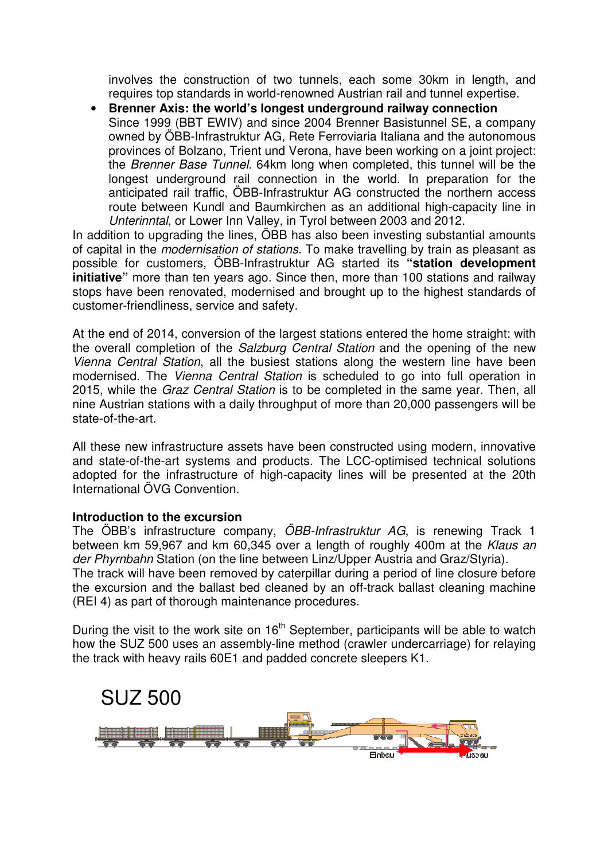involves the construction of two tunnels, each some 30km in length, and requires top standards in world-renowned Austrian rail and tunnel expertise.

• **Brenner Axis: the world's longest underground railway connection**  Since 1999 (BBT EWIV) and since 2004 Brenner Basistunnel SE, a company owned by ÖBB-Infrastruktur AG, Rete Ferroviaria Italiana and the autonomous provinces of Bolzano, Trient und Verona, have been working on a joint project: the Brenner Base Tunnel. 64km long when completed, this tunnel will be the longest underground rail connection in the world. In preparation for the anticipated rail traffic, ÖBB-Infrastruktur AG constructed the northern access route between Kundl and Baumkirchen as an additional high-capacity line in Unterinntal, or Lower Inn Valley, in Tyrol between 2003 and 2012.

In addition to upgrading the lines, ÖBB has also been investing substantial amounts of capital in the modernisation of stations. To make travelling by train as pleasant as possible for customers, ÖBB-Infrastruktur AG started its **"station development initiative"** more than ten years ago. Since then, more than 100 stations and railway stops have been renovated, modernised and brought up to the highest standards of customer-friendliness, service and safety.

At the end of 2014, conversion of the largest stations entered the home straight: with the overall completion of the Salzburg Central Station and the opening of the new Vienna Central Station, all the busiest stations along the western line have been modernised. The Vienna Central Station is scheduled to go into full operation in 2015, while the Graz Central Station is to be completed in the same year. Then, all nine Austrian stations with a daily throughput of more than 20,000 passengers will be state-of-the-art.

All these new infrastructure assets have been constructed using modern, innovative and state-of-the-art systems and products. The LCC-optimised technical solutions adopted for the infrastructure of high-capacity lines will be presented at the 20th International ÖVG Convention.

### **Introduction to the excursion**

The ÖBB's infrastructure company, ÖBB-Infrastruktur AG, is renewing Track 1 between km 59,967 and km 60,345 over a length of roughly 400m at the Klaus an der Phyrnbahn Station (on the line between Linz/Upper Austria and Graz/Styria). The track will have been removed by caterpillar during a period of line closure before the excursion and the ballast bed cleaned by an off-track ballast cleaning machine (REI 4) as part of thorough maintenance procedures.

During the visit to the work site on  $16<sup>th</sup>$  September, participants will be able to watch how the SUZ 500 uses an assembly-line method (crawler undercarriage) for relaying the track with heavy rails 60E1 and padded concrete sleepers K1.

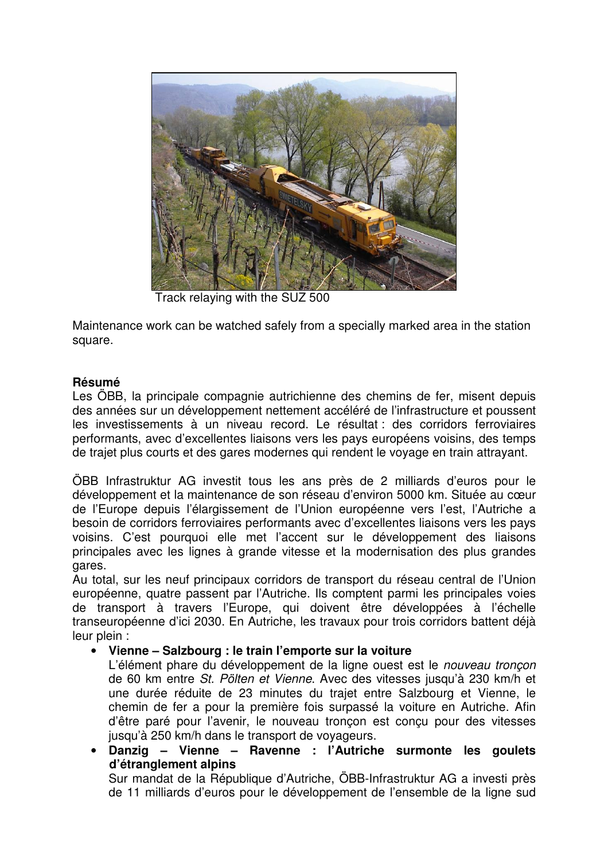

Track relaying with the SUZ 500

Maintenance work can be watched safely from a specially marked area in the station square.

# **Résumé**

Les ÖBB, la principale compagnie autrichienne des chemins de fer, misent depuis des années sur un développement nettement accéléré de l'infrastructure et poussent les investissements à un niveau record. Le résultat : des corridors ferroviaires performants, avec d'excellentes liaisons vers les pays européens voisins, des temps de trajet plus courts et des gares modernes qui rendent le voyage en train attrayant.

ÖBB Infrastruktur AG investit tous les ans près de 2 milliards d'euros pour le développement et la maintenance de son réseau d'environ 5000 km. Située au cœur de l'Europe depuis l'élargissement de l'Union européenne vers l'est, l'Autriche a besoin de corridors ferroviaires performants avec d'excellentes liaisons vers les pays voisins. C'est pourquoi elle met l'accent sur le développement des liaisons principales avec les lignes à grande vitesse et la modernisation des plus grandes gares.

Au total, sur les neuf principaux corridors de transport du réseau central de l'Union européenne, quatre passent par l'Autriche. Ils comptent parmi les principales voies de transport à travers l'Europe, qui doivent être développées à l'échelle transeuropéenne d'ici 2030. En Autriche, les travaux pour trois corridors battent déjà leur plein :

# • **Vienne – Salzbourg : le train l'emporte sur la voiture**

L'élément phare du développement de la ligne ouest est le nouveau tronçon de 60 km entre St. Pölten et Vienne. Avec des vitesses jusqu'à 230 km/h et une durée réduite de 23 minutes du trajet entre Salzbourg et Vienne, le chemin de fer a pour la première fois surpassé la voiture en Autriche. Afin d'être paré pour l'avenir, le nouveau tronçon est conçu pour des vitesses jusqu'à 250 km/h dans le transport de voyageurs.

• **Danzig – Vienne – Ravenne : l'Autriche surmonte les goulets d'étranglement alpins** 

Sur mandat de la République d'Autriche, ÖBB-Infrastruktur AG a investi près de 11 milliards d'euros pour le développement de l'ensemble de la ligne sud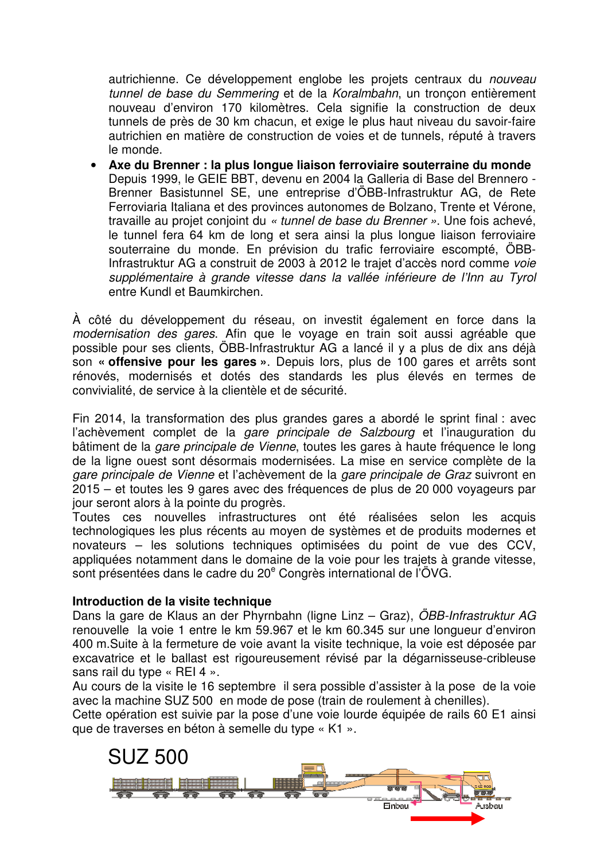autrichienne. Ce développement englobe les projets centraux du nouveau tunnel de base du Semmering et de la Koralmbahn, un tronçon entièrement nouveau d'environ 170 kilomètres. Cela signifie la construction de deux tunnels de près de 30 km chacun, et exige le plus haut niveau du savoir-faire autrichien en matière de construction de voies et de tunnels, réputé à travers le monde.

• **Axe du Brenner : la plus longue liaison ferroviaire souterraine du monde**  Depuis 1999, le GEIE BBT, devenu en 2004 la Galleria di Base del Brennero - Brenner Basistunnel SE, une entreprise d'ÖBB-Infrastruktur AG, de Rete Ferroviaria Italiana et des provinces autonomes de Bolzano, Trente et Vérone, travaille au projet conjoint du « tunnel de base du Brenner ». Une fois achevé, le tunnel fera 64 km de long et sera ainsi la plus longue liaison ferroviaire souterraine du monde. En prévision du trafic ferroviaire escompté, ÖBB-Infrastruktur AG a construit de 2003 à 2012 le trajet d'accès nord comme voie supplémentaire à grande vitesse dans la vallée inférieure de l'Inn au Tyrol entre Kundl et Baumkirchen.

À côté du développement du réseau, on investit également en force dans la modernisation des gares. Afin que le voyage en train soit aussi agréable que possible pour ses clients, ÖBB-Infrastruktur AG a lancé il y a plus de dix ans déjà son **« offensive pour les gares »**. Depuis lors, plus de 100 gares et arrêts sont rénovés, modernisés et dotés des standards les plus élevés en termes de convivialité, de service à la clientèle et de sécurité.

Fin 2014, la transformation des plus grandes gares a abordé le sprint final : avec l'achèvement complet de la *gare principale de Salzbourg* et l'inauguration du bâtiment de la gare principale de Vienne, toutes les gares à haute fréquence le long de la ligne ouest sont désormais modernisées. La mise en service complète de la gare principale de Vienne et l'achèvement de la gare principale de Graz suivront en 2015 – et toutes les 9 gares avec des fréquences de plus de 20 000 voyageurs par jour seront alors à la pointe du progrès.

Toutes ces nouvelles infrastructures ont été réalisées selon les acquis technologiques les plus récents au moyen de systèmes et de produits modernes et novateurs – les solutions techniques optimisées du point de vue des CCV, appliquées notamment dans le domaine de la voie pour les trajets à grande vitesse, sont présentées dans le cadre du 20<sup>e</sup> Congrès international de l'ÖVG.

### **Introduction de la visite technique**

Dans la gare de Klaus an der Phyrnbahn (ligne Linz – Graz), ÖBB-Infrastruktur AG renouvelle la voie 1 entre le km 59.967 et le km 60.345 sur une longueur d'environ 400 m.Suite à la fermeture de voie avant la visite technique, la voie est déposée par excavatrice et le ballast est rigoureusement révisé par la dégarnisseuse-cribleuse sans rail du type « REI 4 ».

Au cours de la visite le 16 septembre il sera possible d'assister à la pose de la voie avec la machine SUZ 500 en mode de pose (train de roulement à chenilles).

Cette opération est suivie par la pose d'une voie lourde équipée de rails 60 E1 ainsi que de traverses en béton à semelle du type « K1 ».